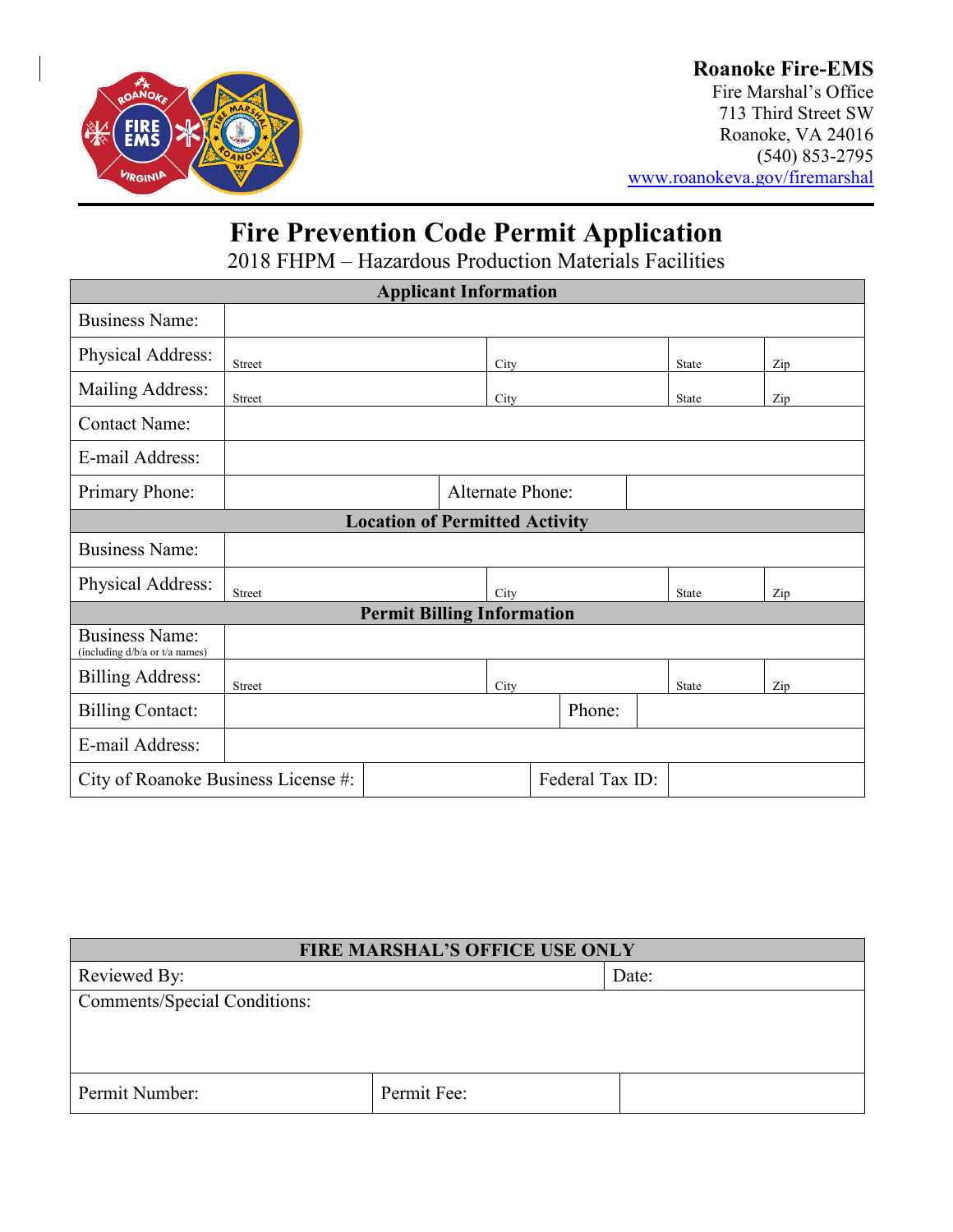

## **Roanoke Fire-EMS**

Fire Marshal's Office 713 Third Street SW Roanoke, VA 24016 (540) 853-2795 [www.roanokeva.gov/firemarshal](http://www.roanokeva.gov/firemarshal)

# **Fire Prevention Code Permit Application**

2018 FHPM – Hazardous Production Materials Facilities

| <b>Applicant Information</b>                            |                         |  |      |        |       |              |     |     |
|---------------------------------------------------------|-------------------------|--|------|--------|-------|--------------|-----|-----|
| <b>Business Name:</b>                                   |                         |  |      |        |       |              |     |     |
| Physical Address:                                       | <b>Street</b>           |  | City |        | State |              | Zip |     |
| Mailing Address:                                        | Street                  |  | City |        |       | <b>State</b> |     | Zip |
| <b>Contact Name:</b>                                    |                         |  |      |        |       |              |     |     |
| E-mail Address:                                         |                         |  |      |        |       |              |     |     |
| Primary Phone:                                          | <b>Alternate Phone:</b> |  |      |        |       |              |     |     |
| <b>Location of Permitted Activity</b>                   |                         |  |      |        |       |              |     |     |
| <b>Business Name:</b>                                   |                         |  |      |        |       |              |     |     |
| Physical Address:                                       | Street                  |  | City |        |       | <b>State</b> |     | Zip |
| <b>Permit Billing Information</b>                       |                         |  |      |        |       |              |     |     |
| <b>Business Name:</b><br>(including d/b/a or t/a names) |                         |  |      |        |       |              |     |     |
| <b>Billing Address:</b>                                 | <b>Street</b>           |  | City |        |       | State        |     | Zip |
| <b>Billing Contact:</b>                                 |                         |  |      | Phone: |       |              |     |     |
| E-mail Address:                                         |                         |  |      |        |       |              |     |     |
| Federal Tax ID:<br>City of Roanoke Business License #:  |                         |  |      |        |       |              |     |     |

| <b>FIRE MARSHAL'S OFFICE USE ONLY</b> |             |       |  |  |
|---------------------------------------|-------------|-------|--|--|
| Reviewed By:                          |             | Date: |  |  |
| <b>Comments/Special Conditions:</b>   |             |       |  |  |
|                                       |             |       |  |  |
|                                       |             |       |  |  |
| Permit Number:                        | Permit Fee: |       |  |  |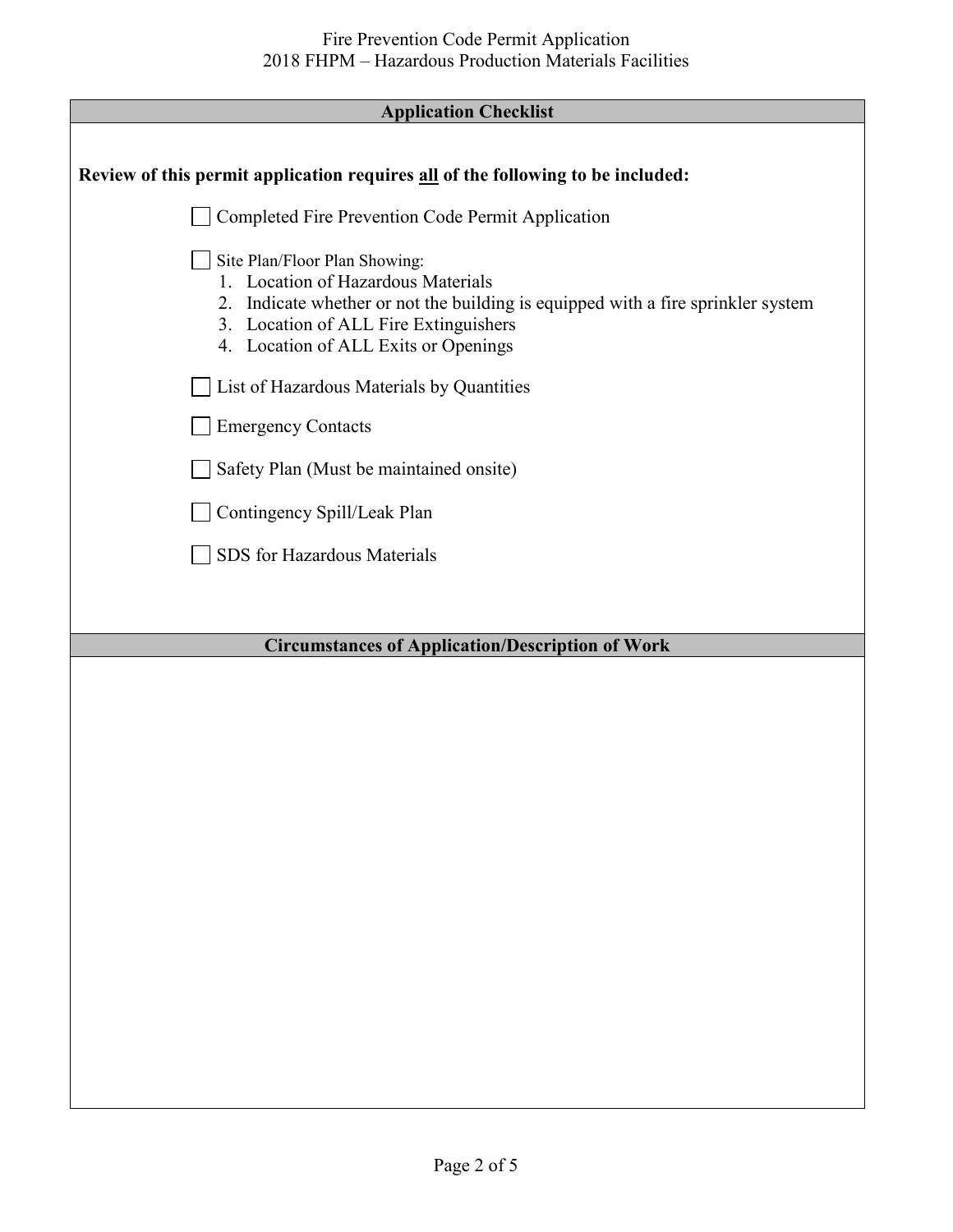### **Application Checklist**

Г

| Review of this permit application requires all of the following to be included:                                                                                                                                                          |
|------------------------------------------------------------------------------------------------------------------------------------------------------------------------------------------------------------------------------------------|
| Completed Fire Prevention Code Permit Application                                                                                                                                                                                        |
| Site Plan/Floor Plan Showing:<br>1. Location of Hazardous Materials<br>2. Indicate whether or not the building is equipped with a fire sprinkler system<br>3. Location of ALL Fire Extinguishers<br>4. Location of ALL Exits or Openings |
| List of Hazardous Materials by Quantities                                                                                                                                                                                                |
| <b>Emergency Contacts</b>                                                                                                                                                                                                                |
| Safety Plan (Must be maintained onsite)                                                                                                                                                                                                  |
| Contingency Spill/Leak Plan                                                                                                                                                                                                              |
| SDS for Hazardous Materials                                                                                                                                                                                                              |
|                                                                                                                                                                                                                                          |
| <b>Circumstances of Application/Description of Work</b>                                                                                                                                                                                  |
|                                                                                                                                                                                                                                          |
|                                                                                                                                                                                                                                          |
|                                                                                                                                                                                                                                          |
|                                                                                                                                                                                                                                          |
|                                                                                                                                                                                                                                          |
|                                                                                                                                                                                                                                          |
|                                                                                                                                                                                                                                          |
|                                                                                                                                                                                                                                          |
|                                                                                                                                                                                                                                          |
|                                                                                                                                                                                                                                          |
|                                                                                                                                                                                                                                          |
|                                                                                                                                                                                                                                          |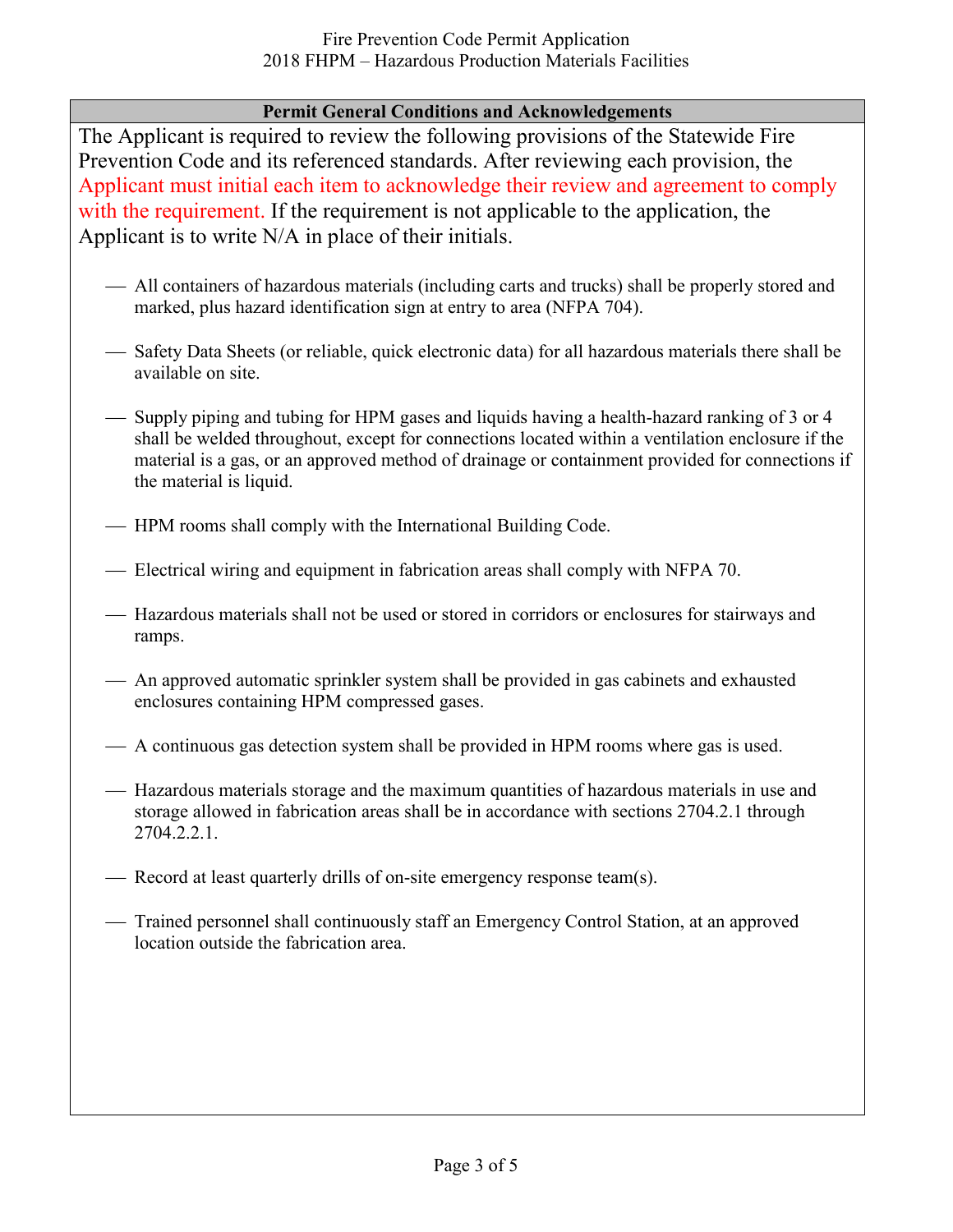#### **Permit General Conditions and Acknowledgements**

The Applicant is required to review the following provisions of the Statewide Fire Prevention Code and its referenced standards. After reviewing each provision, the Applicant must initial each item to acknowledge their review and agreement to comply with the requirement. If the requirement is not applicable to the application, the Applicant is to write N/A in place of their initials.

- All containers of hazardous materials (including carts and trucks) shall be properly stored and marked, plus hazard identification sign at entry to area (NFPA 704).
- Safety Data Sheets (or reliable, quick electronic data) for all hazardous materials there shall be available on site.
- Supply piping and tubing for HPM gases and liquids having a health-hazard ranking of 3 or 4 shall be welded throughout, except for connections located within a ventilation enclosure if the material is a gas, or an approved method of drainage or containment provided for connections if the material is liquid.
- HPM rooms shall comply with the International Building Code.
- Electrical wiring and equipment in fabrication areas shall comply with NFPA 70.
- Hazardous materials shall not be used or stored in corridors or enclosures for stairways and ramps.
- An approved automatic sprinkler system shall be provided in gas cabinets and exhausted enclosures containing HPM compressed gases.
- A continuous gas detection system shall be provided in HPM rooms where gas is used.
- Hazardous materials storage and the maximum quantities of hazardous materials in use and storage allowed in fabrication areas shall be in accordance with sections 2704.2.1 through 2704.2.2.1.
- Record at least quarterly drills of on-site emergency response team(s).
- Trained personnel shall continuously staff an Emergency Control Station, at an approved location outside the fabrication area.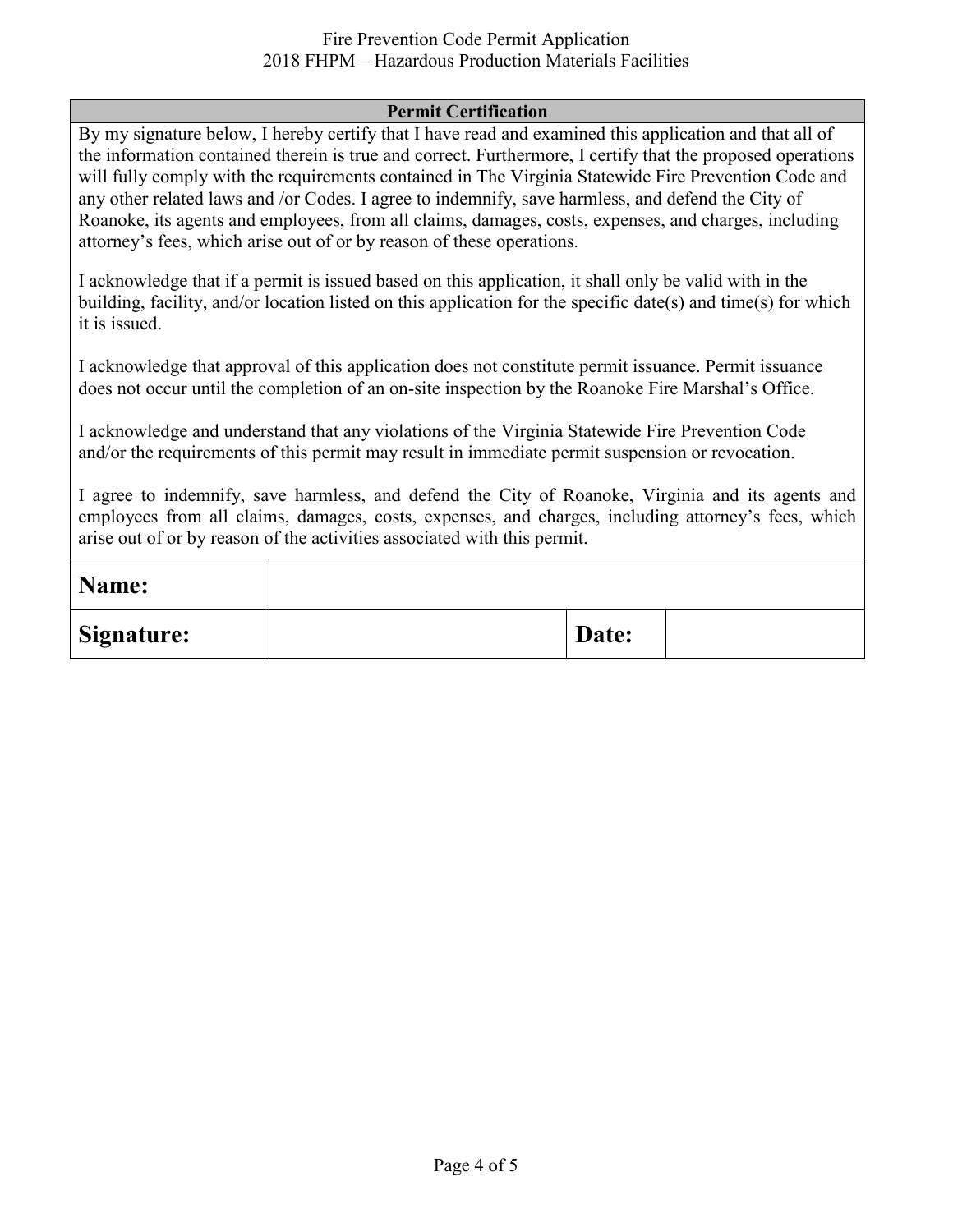#### Fire Prevention Code Permit Application 2018 FHPM – Hazardous Production Materials Facilities

#### **Permit Certification**

By my signature below, I hereby certify that I have read and examined this application and that all of the information contained therein is true and correct. Furthermore, I certify that the proposed operations will fully comply with the requirements contained in The Virginia Statewide Fire Prevention Code and any other related laws and /or Codes. I agree to indemnify, save harmless, and defend the City of Roanoke, its agents and employees, from all claims, damages, costs, expenses, and charges, including attorney's fees, which arise out of or by reason of these operations.

I acknowledge that if a permit is issued based on this application, it shall only be valid with in the building, facility, and/or location listed on this application for the specific date(s) and time(s) for which it is issued.

I acknowledge that approval of this application does not constitute permit issuance. Permit issuance does not occur until the completion of an on-site inspection by the Roanoke Fire Marshal's Office.

I acknowledge and understand that any violations of the Virginia Statewide Fire Prevention Code and/or the requirements of this permit may result in immediate permit suspension or revocation.

I agree to indemnify, save harmless, and defend the City of Roanoke, Virginia and its agents and employees from all claims, damages, costs, expenses, and charges, including attorney's fees, which arise out of or by reason of the activities associated with this permit.

| Name:             |       |  |
|-------------------|-------|--|
| <b>Signature:</b> | Date: |  |